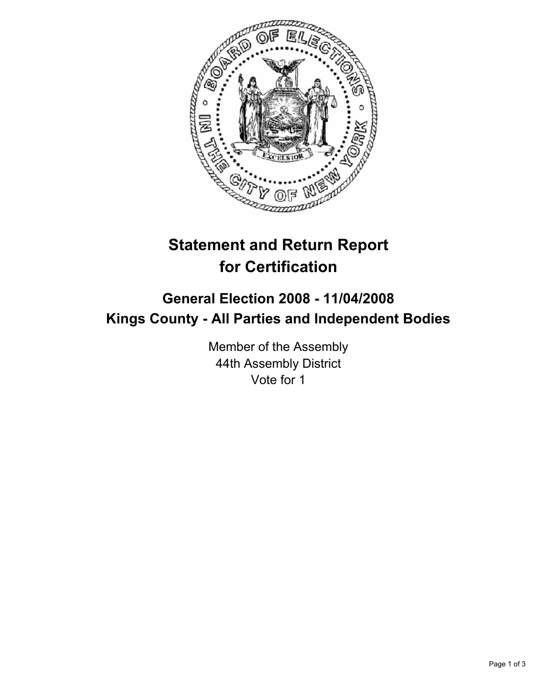

## **Statement and Return Report for Certification**

## **General Election 2008 - 11/04/2008 Kings County - All Parties and Independent Bodies**

Member of the Assembly 44th Assembly District Vote for 1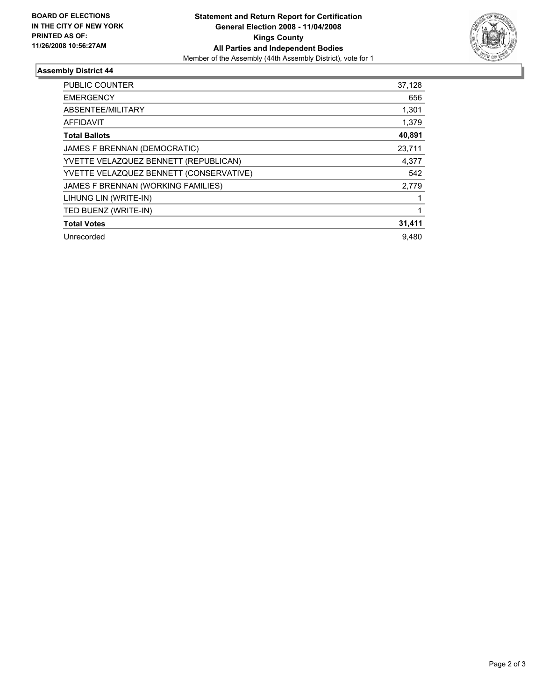

## **Assembly District 44**

| <b>PUBLIC COUNTER</b>                   | 37,128 |
|-----------------------------------------|--------|
| <b>EMERGENCY</b>                        | 656    |
| ABSENTEE/MILITARY                       | 1,301  |
| <b>AFFIDAVIT</b>                        | 1,379  |
| <b>Total Ballots</b>                    | 40,891 |
| JAMES F BRENNAN (DEMOCRATIC)            | 23,711 |
| YVETTE VELAZQUEZ BENNETT (REPUBLICAN)   | 4,377  |
| YVETTE VELAZQUEZ BENNETT (CONSERVATIVE) | 542    |
| JAMES F BRENNAN (WORKING FAMILIES)      | 2,779  |
| LIHUNG LIN (WRITE-IN)                   |        |
| TED BUENZ (WRITE-IN)                    |        |
| <b>Total Votes</b>                      | 31,411 |
| Unrecorded                              | 9.480  |